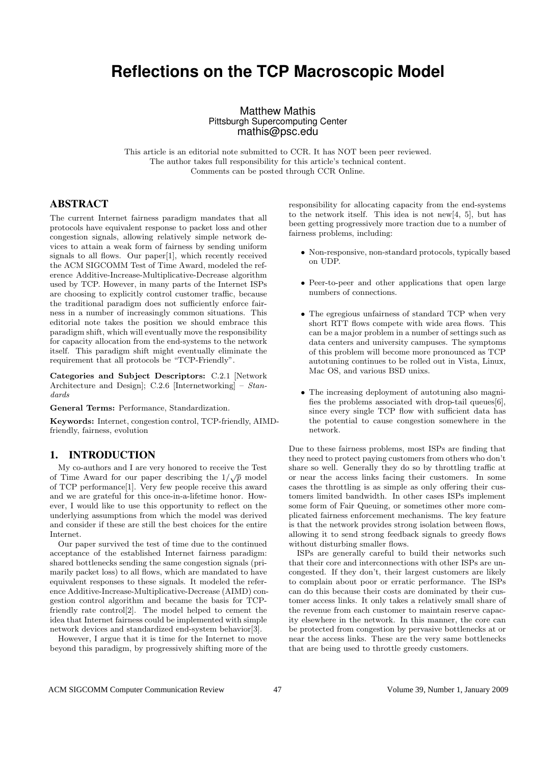# **Reflections on the TCP Macroscopic Model**

Matthew Mathis Pittsburgh Supercomputing Center mathis@psc.edu

This article is an editorial note submitted to CCR. It has NOT been peer reviewed. The author takes full responsibility for this article's technical content. Comments can be posted through CCR Online.

#### ABSTRACT

The current Internet fairness paradigm mandates that all protocols have equivalent response to packet loss and other congestion signals, allowing relatively simple network devices to attain a weak form of fairness by sending uniform signals to all flows. Our paper[1], which recently received the ACM SIGCOMM Test of Time Award, modeled the reference Additive-Increase-Multiplicative-Decrease algorithm used by TCP. However, in many parts of the Internet ISPs are choosing to explicitly control customer traffic, because the traditional paradigm does not sufficiently enforce fairness in a number of increasingly common situations. This editorial note takes the position we should embrace this paradigm shift, which will eventually move the responsibility for capacity allocation from the end-systems to the network itself. This paradigm shift might eventually eliminate the requirement that all protocols be "TCP-Friendly".

Categories and Subject Descriptors: C.2.1 [Network Architecture and Design]; C.2.6 [Internetworking] – Standards

General Terms: Performance, Standardization.

Keywords: Internet, congestion control, TCP-friendly, AIMDfriendly, fairness, evolution

#### 1. INTRODUCTION

My co-authors and I are very honored to receive the Test My co-authors and 1 are very honored to receive the 1est<br>of Time Award for our paper describing the  $1/\sqrt{p}$  model of TCP performance[1]. Very few people receive this award and we are grateful for this once-in-a-lifetime honor. However, I would like to use this opportunity to reflect on the underlying assumptions from which the model was derived and consider if these are still the best choices for the entire Internet.

Our paper survived the test of time due to the continued acceptance of the established Internet fairness paradigm: shared bottlenecks sending the same congestion signals (primarily packet loss) to all flows, which are mandated to have equivalent responses to these signals. It modeled the reference Additive-Increase-Multiplicative-Decrease (AIMD) congestion control algorithm and became the basis for TCPfriendly rate control[2]. The model helped to cement the idea that Internet fairness could be implemented with simple network devices and standardized end-system behavior[3].

However, I argue that it is time for the Internet to move beyond this paradigm, by progressively shifting more of the

responsibility for allocating capacity from the end-systems to the network itself. This idea is not new[4, 5], but has been getting progressively more traction due to a number of fairness problems, including:

- Non-responsive, non-standard protocols, typically based on UDP.
- Peer-to-peer and other applications that open large numbers of connections.
- The egregious unfairness of standard TCP when very short RTT flows compete with wide area flows. This can be a major problem in a number of settings such as data centers and university campuses. The symptoms of this problem will become more pronounced as TCP autotuning continues to be rolled out in Vista, Linux, Mac OS, and various BSD unixs.
- The increasing deployment of autotuning also magnifies the problems associated with drop-tail queues[6], since every single TCP flow with sufficient data has the potential to cause congestion somewhere in the network.

Due to these fairness problems, most ISPs are finding that they need to protect paying customers from others who don't share so well. Generally they do so by throttling traffic at or near the access links facing their customers. In some cases the throttling is as simple as only offering their customers limited bandwidth. In other cases ISPs implement some form of Fair Queuing, or sometimes other more complicated fairness enforcement mechanisms. The key feature is that the network provides strong isolation between flows, allowing it to send strong feedback signals to greedy flows without disturbing smaller flows.

ISPs are generally careful to build their networks such that their core and interconnections with other ISPs are uncongested. If they don't, their largest customers are likely to complain about poor or erratic performance. The ISPs can do this because their costs are dominated by their customer access links. It only takes a relatively small share of the revenue from each customer to maintain reserve capacity elsewhere in the network. In this manner, the core can be protected from congestion by pervasive bottlenecks at or near the access links. These are the very same bottlenecks that are being used to throttle greedy customers.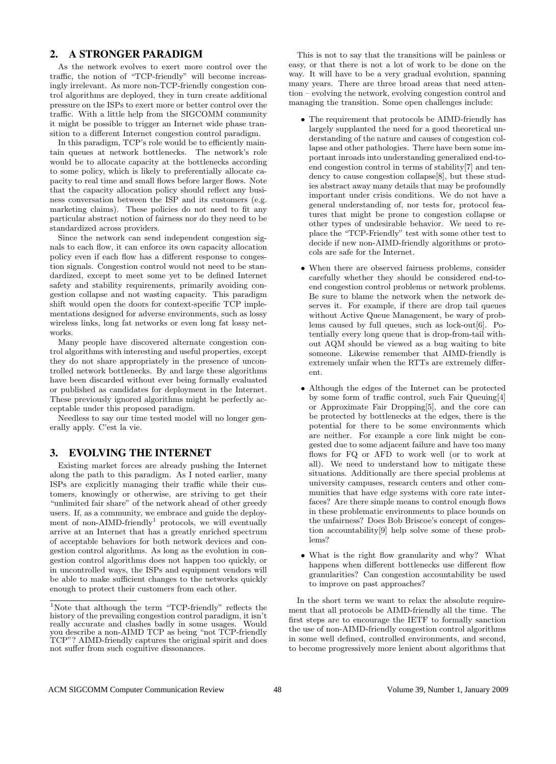# 2. A STRONGER PARADIGM

As the network evolves to exert more control over the traffic, the notion of "TCP-friendly" will become increasingly irrelevant. As more non-TCP-friendly congestion control algorithms are deployed, they in turn create additional pressure on the ISPs to exert more or better control over the traffic. With a little help from the SIGCOMM community it might be possible to trigger an Internet wide phase transition to a different Internet congestion control paradigm.

In this paradigm, TCP's role would be to efficiently maintain queues at network bottlenecks. The network's role would be to allocate capacity at the bottlenecks according to some policy, which is likely to preferentially allocate capacity to real time and small flows before larger flows. Note that the capacity allocation policy should reflect any business conversation between the ISP and its customers (e.g. marketing claims). These policies do not need to fit any particular abstract notion of fairness nor do they need to be standardized across providers.

Since the network can send independent congestion signals to each flow, it can enforce its own capacity allocation policy even if each flow has a different response to congestion signals. Congestion control would not need to be standardized, except to meet some yet to be defined Internet safety and stability requirements, primarily avoiding congestion collapse and not wasting capacity. This paradigm shift would open the doors for context-specific TCP implementations designed for adverse environments, such as lossy wireless links, long fat networks or even long fat lossy networks.

Many people have discovered alternate congestion control algorithms with interesting and useful properties, except they do not share appropriately in the presence of uncontrolled network bottlenecks. By and large these algorithms have been discarded without ever being formally evaluated or published as candidates for deployment in the Internet. These previously ignored algorithms might be perfectly acceptable under this proposed paradigm.

Needless to say our time tested model will no longer generally apply. C'est la vie.

#### 3. EVOLVING THE INTERNET

Existing market forces are already pushing the Internet along the path to this paradigm. As I noted earlier, many ISPs are explicitly managing their traffic while their customers, knowingly or otherwise, are striving to get their "unlimited fair share" of the network ahead of other greedy users. If, as a community, we embrace and guide the deployment of non-AIMD-friendly<sup>1</sup> protocols, we will eventually arrive at an Internet that has a greatly enriched spectrum of acceptable behaviors for both network devices and congestion control algorithms. As long as the evolution in congestion control algorithms does not happen too quickly, or in uncontrolled ways, the ISPs and equipment vendors will be able to make sufficient changes to the networks quickly enough to protect their customers from each other.

This is not to say that the transitions will be painless or easy, or that there is not a lot of work to be done on the way. It will have to be a very gradual evolution, spanning many years. There are three broad areas that need attention – evolving the network, evolving congestion control and managing the transition. Some open challenges include:

- $\bullet\,$  The requirement that protocols be AIMD-friendly has largely supplanted the need for a good theoretical understanding of the nature and causes of congestion collapse and other pathologies. There have been some important inroads into understanding generalized end-toend congestion control in terms of stability[7] and tendency to cause congestion collapse[8], but these studies abstract away many details that may be profoundly important under crisis conditions. We do not have a general understanding of, nor tests for, protocol features that might be prone to congestion collapse or other types of undesirable behavior. We need to replace the "TCP-Friendly" test with some other test to decide if new non-AIMD-friendly algorithms or protocols are safe for the Internet.
- When there are observed fairness problems, consider carefully whether they should be considered end-toend congestion control problems or network problems. Be sure to blame the network when the network deserves it. For example, if there are drop tail queues without Active Queue Management, be wary of problems caused by full queues, such as lock-out[6]. Potentially every long queue that is drop-from-tail without AQM should be viewed as a bug waiting to bite someone. Likewise remember that AIMD-friendly is extremely unfair when the RTTs are extremely different.
- Although the edges of the Internet can be protected by some form of traffic control, such Fair Queuing[4] or Approximate Fair Dropping[5], and the core can be protected by bottlenecks at the edges, there is the potential for there to be some environments which are neither. For example a core link might be congested due to some adjacent failure and have too many flows for FQ or AFD to work well (or to work at all). We need to understand how to mitigate these situations. Additionally are there special problems at university campuses, research centers and other communities that have edge systems with core rate interfaces? Are there simple means to control enough flows in these problematic environments to place bounds on the unfairness? Does Bob Briscoe's concept of congestion accountability[9] help solve some of these problems?
- What is the right flow granularity and why? What happens when different bottlenecks use different flow granularities? Can congestion accountability be used to improve on past approaches?

In the short term we want to relax the absolute requirement that all protocols be AIMD-friendly all the time. The first steps are to encourage the IETF to formally sanction the use of non-AIMD-friendly congestion control algorithms in some well defined, controlled environments, and second, to become progressively more lenient about algorithms that

<sup>&</sup>lt;sup>1</sup>Note that although the term "TCP-friendly" reflects the history of the prevailing congestion control paradigm, it isn't really accurate and clashes badly in some usages. Would you describe a non-AIMD TCP as being "not TCP-friendly TCP"? AIMD-friendly captures the original spirit and does not suffer from such cognitive dissonances.